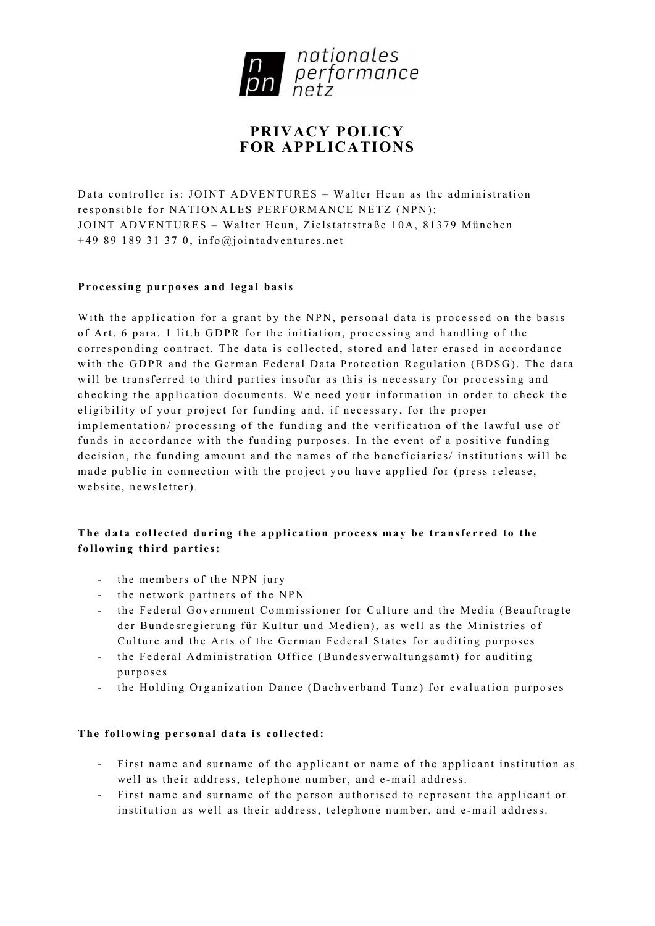

# **PRIVACY POLICY FOR APPLICATIONS**

Data controller is: JOINT ADVENTURES – Walter Heun as the administration responsible for NATIONALES PERFORMANCE NETZ (NPN): JOINT ADVENTURES – Walter Heun, Zielstattstraße 10A, 81379 München  $+498918931370$ , [info@jointadventures.net](mailto:info@jointadventures.net)

## **Processing purposes and legal basis**

With the application for a grant by the NPN, personal data is processed on the basis of Art. 6 para. 1 lit.b GDPR for the in itiation, processing and handling of the corresponding contract. The data is collected, stored and later erased in accordance with the GDPR and the German Federal Data Protection Regulation (BDSG). The data will be transferred to third parties insofar as this is necessary for processing and checking the application documents. We need your information in order to check the eligibility of your project for funding and, if necessary, for the proper implementation/ processing of the funding and the verification of the lawful use of funds in accordance with the funding purposes. In the event of a positive funding decision, the funding amount and the names of the beneficiaries/ institutions will be made public in connection with the project you have applied for (press release, website, newsletter).

## **The data collected during the application process may be transferred to the following third parties:**

- the members of the NPN jury
- the network partners of the NPN
- the Federal Government Commissioner for Culture and the Media (Beauftragte der Bundesregierung für Kultur und Medien), as well as the Ministries of Culture and the Arts of the German Federal States for auditing purposes
- the Federal Administration Office (Bundesverwaltungsamt) for auditing purposes
- the Holding Organization Dance (Dachverband Tanz) for evaluation purposes

### **The following personal data is collected:**

- First name and surname of the applicant or name of the applicant institution as well as their address, telephone number, and e -mail address.
- First name and surname of the person authorised to represent the applicant or institution as well as their address, telephone number, and e -mail address.